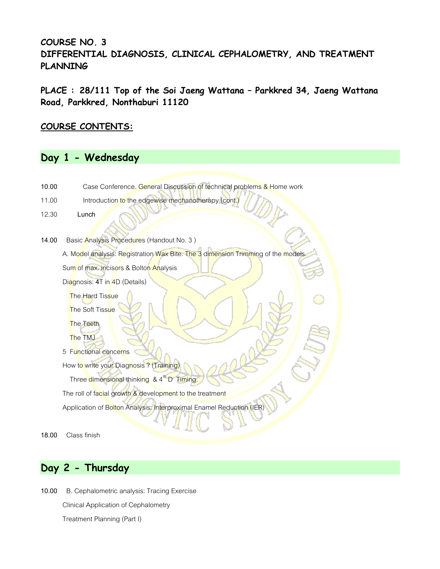## **COURSE NO. 3 DIFFERENTIAL DIAGNOSIS, CLINICAL CEPHALOMETRY, AND TREATMENT PLANNING**

**PLACE : 28/111 Top of the Soi Jaeng Wattana – Parkkred 34, Jaeng Wattana Road, Parkkred, Nonthaburi 11120**

### **COURSE CONTENTS:**

# **Day 1 - Wednesday**



# **Day 2 - Thursday**

**10.00** B. Cephalometric analysis: Tracing Exercise Clinical Application of Cephalometry Treatment Planning (Part I)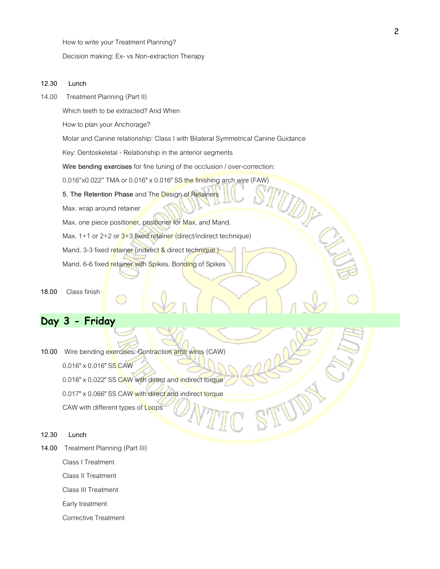How to write your Treatment Planning?

Decision making: Ex- vs Non-extraction Therapy

#### **12.30 Lunch**

14.00 Treatment Planning (Part II)

Which teeth to be extracted? And When

How to plan your Anchorage?

Molar and Canine relationship: Class I with Bilateral Symmetrical Canine Guidance

Key: Dentoskeletal - Relationship in the anterior segments

**Wire bending exercises** for fine tuning of the occlusion / over-correction:

0.016"x0.022" TMA or 0.016" x 0.016" SS the finishing arch wire (FAW)

**5. The Retention Phase** and The Design of Retainers

Max. wrap around retainer

Max. one piece positioner, positioner for Max. and Mand.

Max. 1+1 or 2+2 or  $3+3$  fixed retainer (direct/indirect technique)

Mand. 3-3 fixed retainer (indirect & direct technique)

Mand. 6-6 fixed retainer with Spikes. Bonding of Spikes

**18.00** Class finish

## **Day 3 - Friday**

- **10.00** Wire bending exercises: Contraction arch wires (CAW) 0.016" x 0.016" SS CAW 0.016" x 0.022" SS CAW with direct and indirect torque 0.017" x 0.066" SS CAW with direct and indirect torque CAW with different types of Loops
- **12.30 Lunch**
- **14.00** Treatment Planning (Part III)

Class I Treatment

Class II Treatment

Class III Treatment

Early treatment

Corrective Treatment